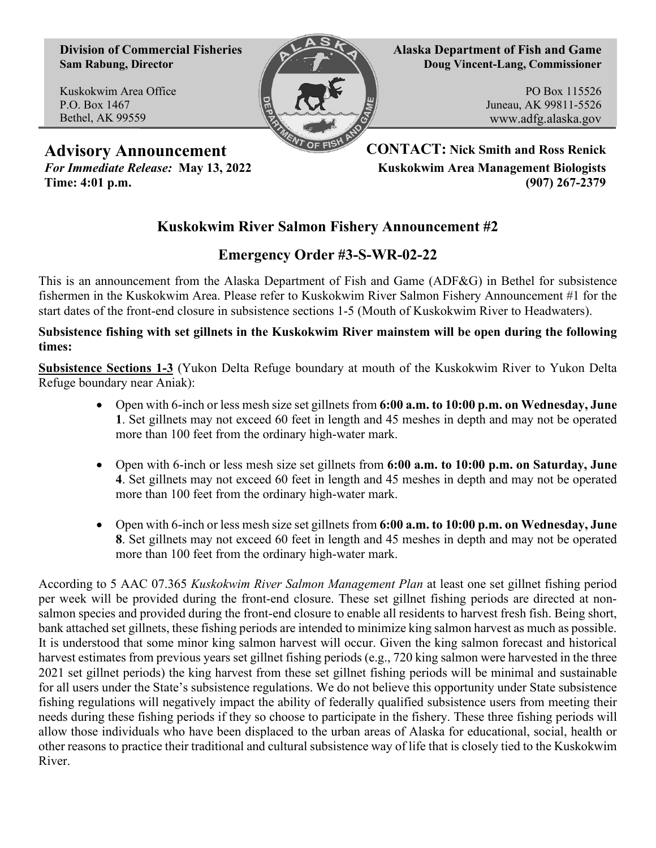**Division of Commercial Fisheries Sam Rabung, Director**

Kuskokwim Area Office P.O. Box 1467 Bethel, AK 99559



**Alaska Department of Fish and Game Doug Vincent-Lang, Commissioner**

> PO Box 115526 Juneau, AK 99811-5526 www.adfg.alaska.gov

**Advisory Announcement CONTACT: Nick Smith and Ross Renick** *For Immediate Release:* **May 13, 2022 Kuskokwim Area Management Biologists Time: 4:01 p.m. (907) 267-2379**

## **Kuskokwim River Salmon Fishery Announcement #2**

## **Emergency Order #3-S-WR-02-22**

This is an announcement from the Alaska Department of Fish and Game (ADF&G) in Bethel for subsistence fishermen in the Kuskokwim Area. Please refer to Kuskokwim River Salmon Fishery Announcement #1 for the start dates of the front-end closure in subsistence sections 1-5 (Mouth of Kuskokwim River to Headwaters).

**Subsistence fishing with set gillnets in the Kuskokwim River mainstem will be open during the following times:**

**Subsistence Sections 1-3** (Yukon Delta Refuge boundary at mouth of the Kuskokwim River to Yukon Delta Refuge boundary near Aniak):

- Open with 6-inch or less mesh size set gillnets from **6:00 a.m. to 10:00 p.m. on Wednesday, June 1**. Set gillnets may not exceed 60 feet in length and 45 meshes in depth and may not be operated more than 100 feet from the ordinary high-water mark.
- Open with 6-inch or less mesh size set gillnets from **6:00 a.m. to 10:00 p.m. on Saturday, June 4**. Set gillnets may not exceed 60 feet in length and 45 meshes in depth and may not be operated more than 100 feet from the ordinary high-water mark.
- Open with 6-inch or less mesh size set gillnets from **6:00 a.m. to 10:00 p.m. on Wednesday, June 8**. Set gillnets may not exceed 60 feet in length and 45 meshes in depth and may not be operated more than 100 feet from the ordinary high-water mark.

According to 5 AAC 07.365 *Kuskokwim River Salmon Management Plan* at least one set gillnet fishing period per week will be provided during the front-end closure. These set gillnet fishing periods are directed at nonsalmon species and provided during the front-end closure to enable all residents to harvest fresh fish. Being short, bank attached set gillnets, these fishing periods are intended to minimize king salmon harvest as much as possible. It is understood that some minor king salmon harvest will occur. Given the king salmon forecast and historical harvest estimates from previous years set gillnet fishing periods (e.g., 720 king salmon were harvested in the three 2021 set gillnet periods) the king harvest from these set gillnet fishing periods will be minimal and sustainable for all users under the State's subsistence regulations. We do not believe this opportunity under State subsistence fishing regulations will negatively impact the ability of federally qualified subsistence users from meeting their needs during these fishing periods if they so choose to participate in the fishery. These three fishing periods will allow those individuals who have been displaced to the urban areas of Alaska for educational, social, health or other reasons to practice their traditional and cultural subsistence way of life that is closely tied to the Kuskokwim River.